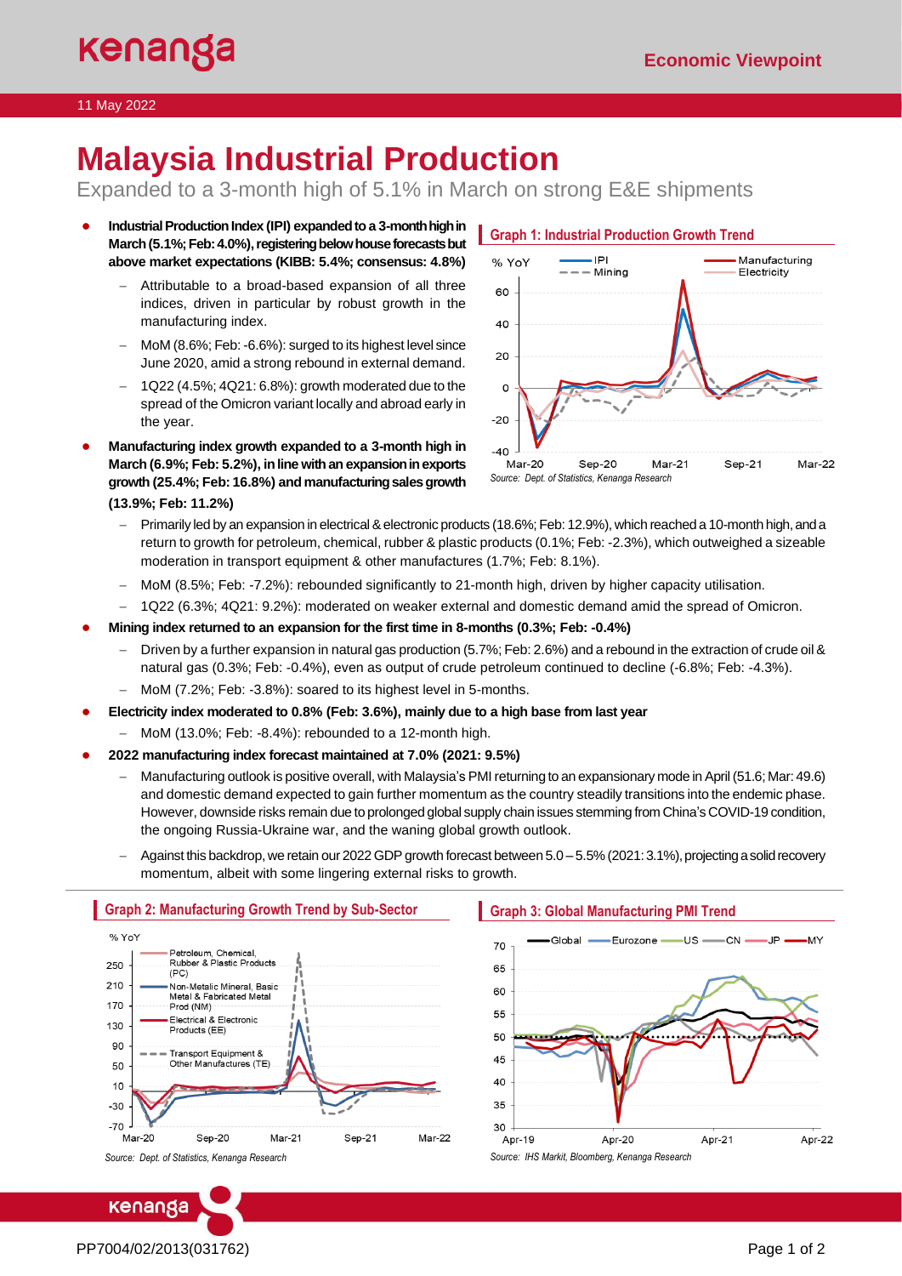#### 11 May 2022

# **Malaysia Industrial Production**

Expanded to a 3-month high of 5.1% in March on strong E&E shipments

- **Industrial Production Index (IPI) expanded to a 3-month high in** March (5.1%; Feb: 4.0%), registering below house forecasts but **above market expectations (KIBB: 5.4%; consensus: 4.8%)**
	- − Attributable to a broad-based expansion of all three indices, driven in particular by robust growth in the manufacturing index.
	- − MoM (8.6%; Feb: -6.6%): surged to its highest level since June 2020, amid a strong rebound in external demand.
	- − 1Q22 (4.5%; 4Q21: 6.8%): growth moderated due to the spread of the Omicron variant locally and abroad early in the year.
- **Manufacturing index growth expanded to a 3-month high in March (6.9%; Feb: 5.2%), in line with an expansionin exports growth (25.4%; Feb: 16.8%) and manufacturing sales growth (13.9%; Feb: 11.2%)**



- − Primarily led by an expansion in electrical & electronic products (18.6%; Feb: 12.9%), which reached a 10-month high, and a return to growth for petroleum, chemical, rubber & plastic products (0.1%; Feb: -2.3%), which outweighed a sizeable moderation in transport equipment & other manufactures (1.7%; Feb: 8.1%).
- − MoM (8.5%; Feb: -7.2%): rebounded significantly to 21-month high, driven by higher capacity utilisation.
- − 1Q22 (6.3%; 4Q21: 9.2%): moderated on weaker external and domestic demand amid the spread of Omicron.
- **Mining index returned to an expansion for the first time in 8-months (0.3%; Feb: -0.4%)**
	- − Driven by a further expansion in natural gas production (5.7%; Feb: 2.6%) and a rebound in the extraction of crude oil & natural gas (0.3%; Feb: -0.4%), even as output of crude petroleum continued to decline (-6.8%; Feb: -4.3%).
	- MoM (7.2%; Feb: -3.8%): soared to its highest level in 5-months.
- **Electricity index moderated to 0.8% (Feb: 3.6%), mainly due to a high base from last year**
	- − MoM (13.0%; Feb: -8.4%): rebounded to a 12-month high.
- **2022 manufacturing index forecast maintained at 7.0% (2021: 9.5%)**
	- − Manufacturing outlook is positive overall, with Malaysia's PMI returning to an expansionary mode in April(51.6; Mar: 49.6) and domestic demand expected to gain further momentum as the country steadily transitions into the endemic phase. However, downside risks remain due to prolonged global supply chain issues stemming from China's COVID-19 condition, the ongoing Russia-Ukraine war, and the waning global growth outlook.
	- − Against this backdrop, we retain our 2022 GDP growth forecast between 5.0 5.5% (2021: 3.1%), projecting a solid recovery momentum, albeit with some lingering external risks to growth.



## **Graph 3: Global Manufacturing PMI Trend**



*Source: Dept. of Statistics, Kenanga Research*